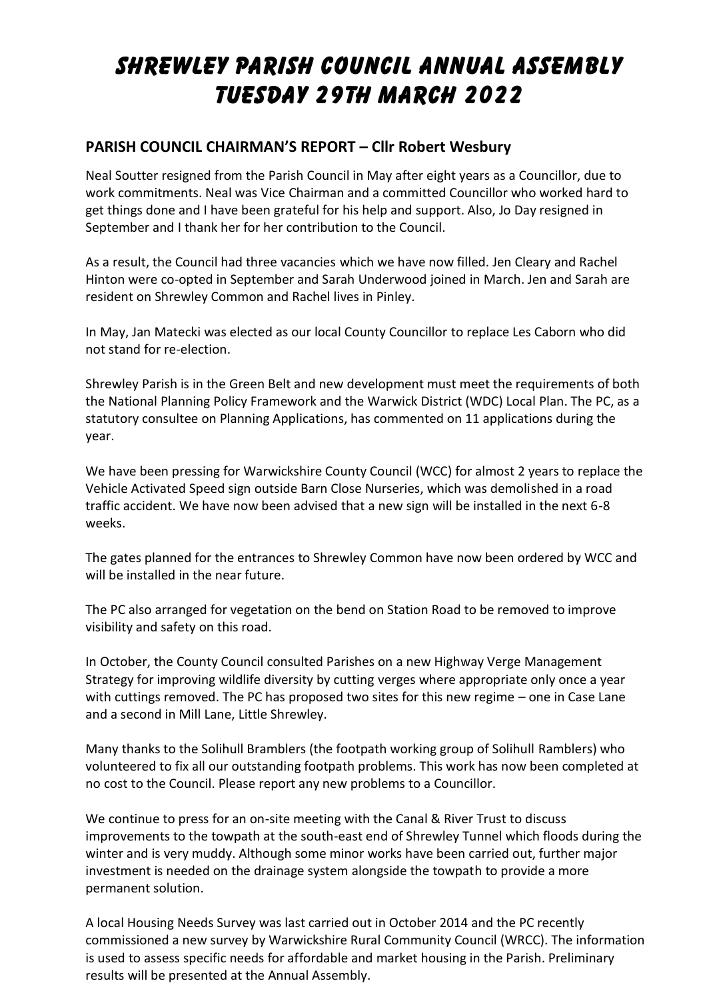# **SHREWLEY PARISH COUNCIL ANNUAL ASSEMBLY TUESDAY 29th MARCH 2022**

## **PARISH COUNCIL CHAIRMAN'S REPORT – Cllr Robert Wesbury**

Neal Soutter resigned from the Parish Council in May after eight years as a Councillor, due to work commitments. Neal was Vice Chairman and a committed Councillor who worked hard to get things done and I have been grateful for his help and support. Also, Jo Day resigned in September and I thank her for her contribution to the Council.

As a result, the Council had three vacancies which we have now filled. Jen Cleary and Rachel Hinton were co-opted in September and Sarah Underwood joined in March. Jen and Sarah are resident on Shrewley Common and Rachel lives in Pinley.

In May, Jan Matecki was elected as our local County Councillor to replace Les Caborn who did not stand for re-election.

Shrewley Parish is in the Green Belt and new development must meet the requirements of both the National Planning Policy Framework and the Warwick District (WDC) Local Plan. The PC, as a statutory consultee on Planning Applications, has commented on 11 applications during the year.

We have been pressing for Warwickshire County Council (WCC) for almost 2 years to replace the Vehicle Activated Speed sign outside Barn Close Nurseries, which was demolished in a road traffic accident. We have now been advised that a new sign will be installed in the next 6-8 weeks.

The gates planned for the entrances to Shrewley Common have now been ordered by WCC and will be installed in the near future.

The PC also arranged for vegetation on the bend on Station Road to be removed to improve visibility and safety on this road.

In October, the County Council consulted Parishes on a new Highway Verge Management Strategy for improving wildlife diversity by cutting verges where appropriate only once a year with cuttings removed. The PC has proposed two sites for this new regime – one in Case Lane and a second in Mill Lane, Little Shrewley.

Many thanks to the Solihull Bramblers (the footpath working group of Solihull Ramblers) who volunteered to fix all our outstanding footpath problems. This work has now been completed at no cost to the Council. Please report any new problems to a Councillor.

We continue to press for an on-site meeting with the Canal & River Trust to discuss improvements to the towpath at the south-east end of Shrewley Tunnel which floods during the winter and is very muddy. Although some minor works have been carried out, further major investment is needed on the drainage system alongside the towpath to provide a more permanent solution.

A local Housing Needs Survey was last carried out in October 2014 and the PC recently commissioned a new survey by Warwickshire Rural Community Council (WRCC). The information is used to assess specific needs for affordable and market housing in the Parish. Preliminary results will be presented at the Annual Assembly.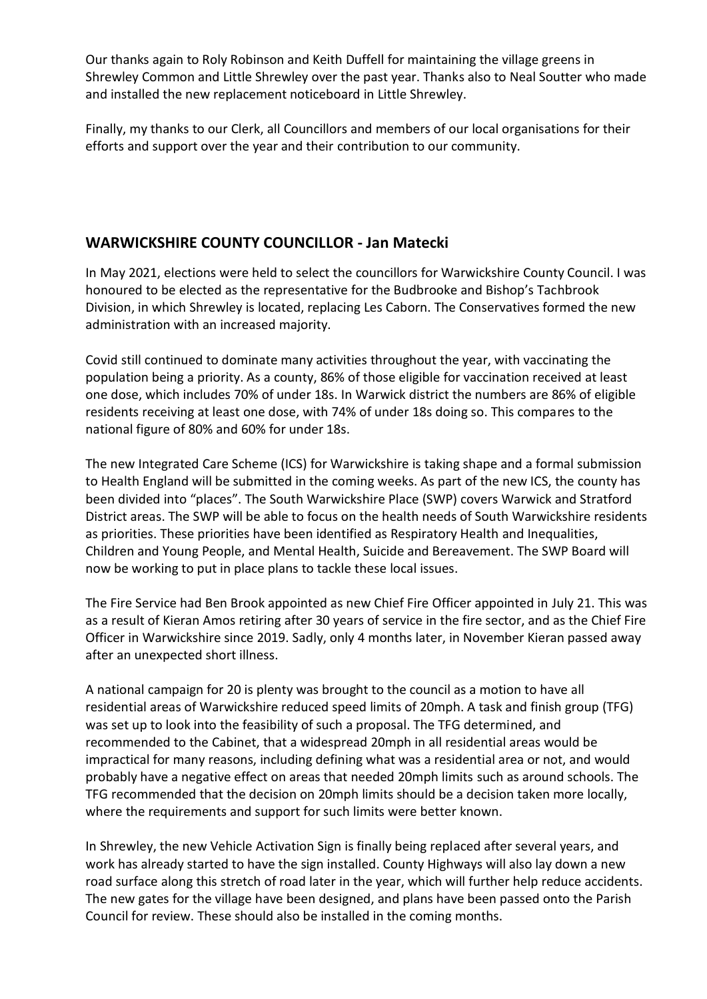Our thanks again to Roly Robinson and Keith Duffell for maintaining the village greens in Shrewley Common and Little Shrewley over the past year. Thanks also to Neal Soutter who made and installed the new replacement noticeboard in Little Shrewley.

Finally, my thanks to our Clerk, all Councillors and members of our local organisations for their efforts and support over the year and their contribution to our community.

## **WARWICKSHIRE COUNTY COUNCILLOR - Jan Matecki**

In May 2021, elections were held to select the councillors for Warwickshire County Council. I was honoured to be elected as the representative for the Budbrooke and Bishop's Tachbrook Division, in which Shrewley is located, replacing Les Caborn. The Conservatives formed the new administration with an increased majority.

Covid still continued to dominate many activities throughout the year, with vaccinating the population being a priority. As a county, 86% of those eligible for vaccination received at least one dose, which includes 70% of under 18s. In Warwick district the numbers are 86% of eligible residents receiving at least one dose, with 74% of under 18s doing so. This compares to the national figure of 80% and 60% for under 18s.

The new Integrated Care Scheme (ICS) for Warwickshire is taking shape and a formal submission to Health England will be submitted in the coming weeks. As part of the new ICS, the county has been divided into "places". The South Warwickshire Place (SWP) covers Warwick and Stratford District areas. The SWP will be able to focus on the health needs of South Warwickshire residents as priorities. These priorities have been identified as Respiratory Health and Inequalities, Children and Young People, and Mental Health, Suicide and Bereavement. The SWP Board will now be working to put in place plans to tackle these local issues.

The Fire Service had Ben Brook appointed as new Chief Fire Officer appointed in July 21. This was as a result of Kieran Amos retiring after 30 years of service in the fire sector, and as the Chief Fire Officer in Warwickshire since 2019. Sadly, only 4 months later, in November Kieran passed away after an unexpected short illness.

A national campaign for 20 is plenty was brought to the council as a motion to have all residential areas of Warwickshire reduced speed limits of 20mph. A task and finish group (TFG) was set up to look into the feasibility of such a proposal. The TFG determined, and recommended to the Cabinet, that a widespread 20mph in all residential areas would be impractical for many reasons, including defining what was a residential area or not, and would probably have a negative effect on areas that needed 20mph limits such as around schools. The TFG recommended that the decision on 20mph limits should be a decision taken more locally, where the requirements and support for such limits were better known.

In Shrewley, the new Vehicle Activation Sign is finally being replaced after several years, and work has already started to have the sign installed. County Highways will also lay down a new road surface along this stretch of road later in the year, which will further help reduce accidents. The new gates for the village have been designed, and plans have been passed onto the Parish Council for review. These should also be installed in the coming months.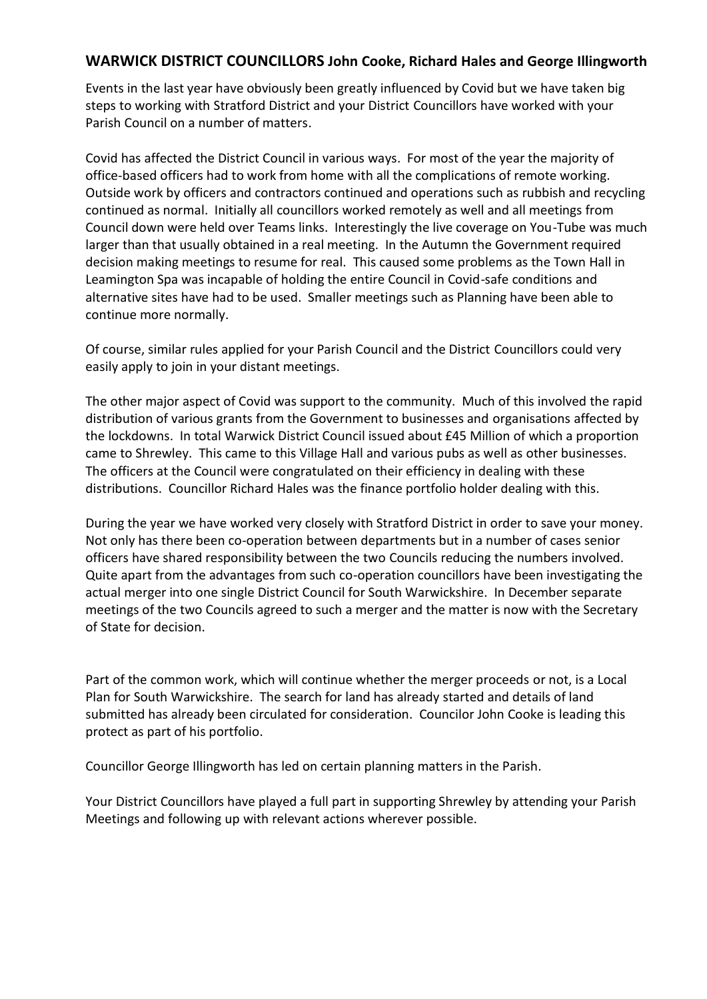#### **WARWICK DISTRICT COUNCILLORS John Cooke, Richard Hales and George Illingworth**

Events in the last year have obviously been greatly influenced by Covid but we have taken big steps to working with Stratford District and your District Councillors have worked with your Parish Council on a number of matters.

Covid has affected the District Council in various ways. For most of the year the majority of office-based officers had to work from home with all the complications of remote working. Outside work by officers and contractors continued and operations such as rubbish and recycling continued as normal. Initially all councillors worked remotely as well and all meetings from Council down were held over Teams links. Interestingly the live coverage on You-Tube was much larger than that usually obtained in a real meeting. In the Autumn the Government required decision making meetings to resume for real. This caused some problems as the Town Hall in Leamington Spa was incapable of holding the entire Council in Covid-safe conditions and alternative sites have had to be used. Smaller meetings such as Planning have been able to continue more normally.

Of course, similar rules applied for your Parish Council and the District Councillors could very easily apply to join in your distant meetings.

The other major aspect of Covid was support to the community. Much of this involved the rapid distribution of various grants from the Government to businesses and organisations affected by the lockdowns. In total Warwick District Council issued about £45 Million of which a proportion came to Shrewley. This came to this Village Hall and various pubs as well as other businesses. The officers at the Council were congratulated on their efficiency in dealing with these distributions. Councillor Richard Hales was the finance portfolio holder dealing with this.

During the year we have worked very closely with Stratford District in order to save your money. Not only has there been co-operation between departments but in a number of cases senior officers have shared responsibility between the two Councils reducing the numbers involved. Quite apart from the advantages from such co-operation councillors have been investigating the actual merger into one single District Council for South Warwickshire. In December separate meetings of the two Councils agreed to such a merger and the matter is now with the Secretary of State for decision.

Part of the common work, which will continue whether the merger proceeds or not, is a Local Plan for South Warwickshire. The search for land has already started and details of land submitted has already been circulated for consideration. Councilor John Cooke is leading this protect as part of his portfolio.

Councillor George Illingworth has led on certain planning matters in the Parish.

Your District Councillors have played a full part in supporting Shrewley by attending your Parish Meetings and following up with relevant actions wherever possible.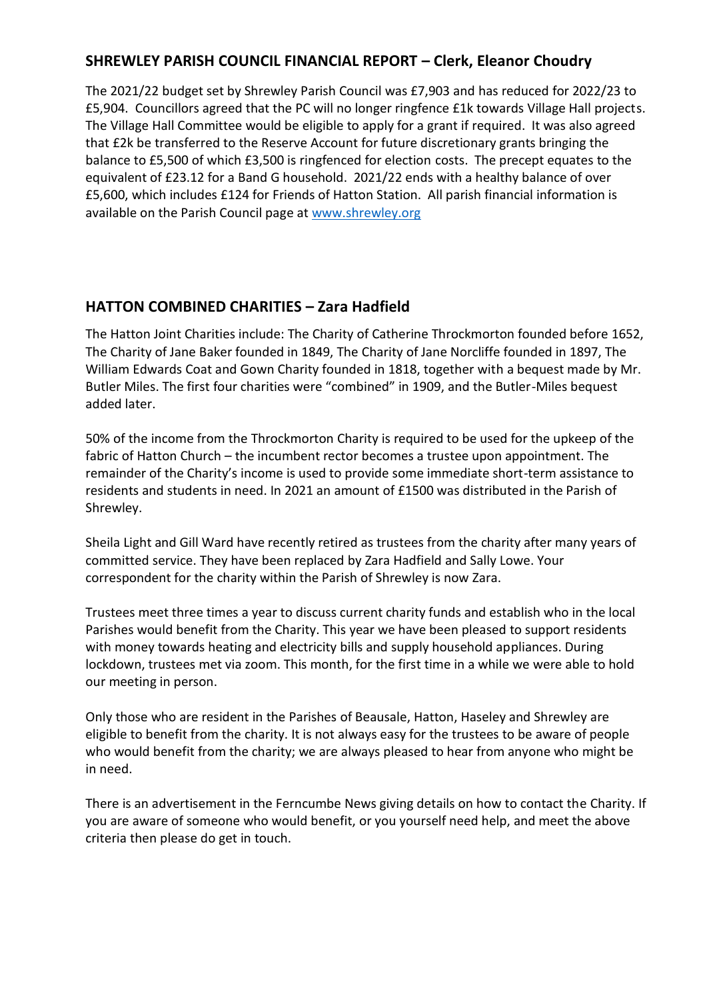#### **SHREWLEY PARISH COUNCIL FINANCIAL REPORT – Clerk, Eleanor Choudry**

The 2021/22 budget set by Shrewley Parish Council was £7,903 and has reduced for 2022/23 to £5,904. Councillors agreed that the PC will no longer ringfence £1k towards Village Hall projects. The Village Hall Committee would be eligible to apply for a grant if required. It was also agreed that £2k be transferred to the Reserve Account for future discretionary grants bringing the balance to £5,500 of which £3,500 is ringfenced for election costs. The precept equates to the equivalent of £23.12 for a Band G household. 2021/22 ends with a healthy balance of over £5,600, which includes £124 for Friends of Hatton Station. All parish financial information is available on the Parish Council page at [www.shrewley.org](http://www.shrewley.org/)

## **HATTON COMBINED CHARITIES – Zara Hadfield**

The Hatton Joint Charities include: The Charity of Catherine Throckmorton founded before 1652, The Charity of Jane Baker founded in 1849, The Charity of Jane Norcliffe founded in 1897, The William Edwards Coat and Gown Charity founded in 1818, together with a bequest made by Mr. Butler Miles. The first four charities were "combined" in 1909, and the Butler-Miles bequest added later.

50% of the income from the Throckmorton Charity is required to be used for the upkeep of the fabric of Hatton Church – the incumbent rector becomes a trustee upon appointment. The remainder of the Charity's income is used to provide some immediate short-term assistance to residents and students in need. In 2021 an amount of £1500 was distributed in the Parish of Shrewley.

Sheila Light and Gill Ward have recently retired as trustees from the charity after many years of committed service. They have been replaced by Zara Hadfield and Sally Lowe. Your correspondent for the charity within the Parish of Shrewley is now Zara.

Trustees meet three times a year to discuss current charity funds and establish who in the local Parishes would benefit from the Charity. This year we have been pleased to support residents with money towards heating and electricity bills and supply household appliances. During lockdown, trustees met via zoom. This month, for the first time in a while we were able to hold our meeting in person.

Only those who are resident in the Parishes of Beausale, Hatton, Haseley and Shrewley are eligible to benefit from the charity. It is not always easy for the trustees to be aware of people who would benefit from the charity; we are always pleased to hear from anyone who might be in need.

There is an advertisement in the Ferncumbe News giving details on how to contact the Charity. If you are aware of someone who would benefit, or you yourself need help, and meet the above criteria then please do get in touch.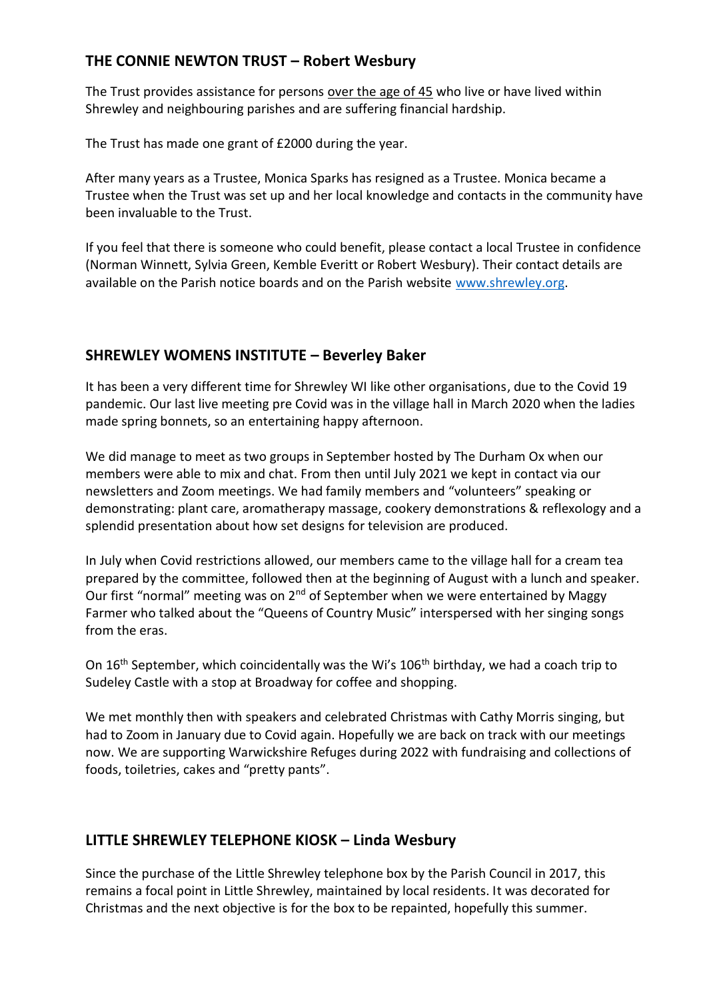## **THE CONNIE NEWTON TRUST – Robert Wesbury**

The Trust provides assistance for persons over the age of 45 who live or have lived within Shrewley and neighbouring parishes and are suffering financial hardship.

The Trust has made one grant of £2000 during the year.

After many years as a Trustee, Monica Sparks has resigned as a Trustee. Monica became a Trustee when the Trust was set up and her local knowledge and contacts in the community have been invaluable to the Trust.

If you feel that there is someone who could benefit, please contact a local Trustee in confidence (Norman Winnett, Sylvia Green, Kemble Everitt or Robert Wesbury). Their contact details are available on the Parish notice boards and on the Parish website [www.shrewley.org.](http://www.shrewley.org/)

#### **SHREWLEY WOMENS INSTITUTE – Beverley Baker**

It has been a very different time for Shrewley WI like other organisations, due to the Covid 19 pandemic. Our last live meeting pre Covid was in the village hall in March 2020 when the ladies made spring bonnets, so an entertaining happy afternoon.

We did manage to meet as two groups in September hosted by The Durham Ox when our members were able to mix and chat. From then until July 2021 we kept in contact via our newsletters and Zoom meetings. We had family members and "volunteers" speaking or demonstrating: plant care, aromatherapy massage, cookery demonstrations & reflexology and a splendid presentation about how set designs for television are produced.

In July when Covid restrictions allowed, our members came to the village hall for a cream tea prepared by the committee, followed then at the beginning of August with a lunch and speaker. Our first "normal" meeting was on  $2^{nd}$  of September when we were entertained by Maggy Farmer who talked about the "Queens of Country Music" interspersed with her singing songs from the eras.

On 16<sup>th</sup> September, which coincidentally was the Wi's 106<sup>th</sup> birthday, we had a coach trip to Sudeley Castle with a stop at Broadway for coffee and shopping.

We met monthly then with speakers and celebrated Christmas with Cathy Morris singing, but had to Zoom in January due to Covid again. Hopefully we are back on track with our meetings now. We are supporting Warwickshire Refuges during 2022 with fundraising and collections of foods, toiletries, cakes and "pretty pants".

## **LITTLE SHREWLEY TELEPHONE KIOSK – Linda Wesbury**

Since the purchase of the Little Shrewley telephone box by the Parish Council in 2017, this remains a focal point in Little Shrewley, maintained by local residents. It was decorated for Christmas and the next objective is for the box to be repainted, hopefully this summer.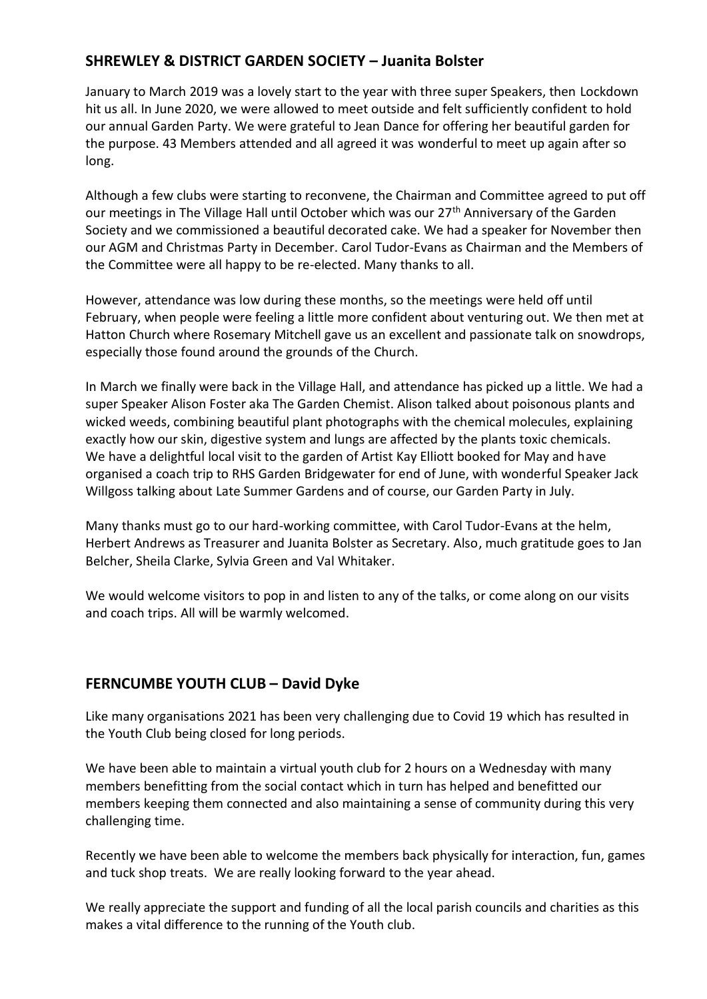## **SHREWLEY & DISTRICT GARDEN SOCIETY – Juanita Bolster**

January to March 2019 was a lovely start to the year with three super Speakers, then Lockdown hit us all. In June 2020, we were allowed to meet outside and felt sufficiently confident to hold our annual Garden Party. We were grateful to Jean Dance for offering her beautiful garden for the purpose. 43 Members attended and all agreed it was wonderful to meet up again after so long.

Although a few clubs were starting to reconvene, the Chairman and Committee agreed to put off our meetings in The Village Hall until October which was our 27<sup>th</sup> Anniversary of the Garden Society and we commissioned a beautiful decorated cake. We had a speaker for November then our AGM and Christmas Party in December. Carol Tudor-Evans as Chairman and the Members of the Committee were all happy to be re-elected. Many thanks to all.

However, attendance was low during these months, so the meetings were held off until February, when people were feeling a little more confident about venturing out. We then met at Hatton Church where Rosemary Mitchell gave us an excellent and passionate talk on snowdrops, especially those found around the grounds of the Church.

In March we finally were back in the Village Hall, and attendance has picked up a little. We had a super Speaker Alison Foster aka The Garden Chemist. Alison talked about poisonous plants and wicked weeds, combining beautiful plant photographs with the chemical molecules, explaining exactly how our skin, digestive system and lungs are affected by the plants toxic chemicals. We have a delightful local visit to the garden of Artist Kay Elliott booked for May and have organised a coach trip to RHS Garden Bridgewater for end of June, with wonderful Speaker Jack Willgoss talking about Late Summer Gardens and of course, our Garden Party in July.

Many thanks must go to our hard-working committee, with Carol Tudor-Evans at the helm, Herbert Andrews as Treasurer and Juanita Bolster as Secretary. Also, much gratitude goes to Jan Belcher, Sheila Clarke, Sylvia Green and Val Whitaker.

We would welcome visitors to pop in and listen to any of the talks, or come along on our visits and coach trips. All will be warmly welcomed.

#### **FERNCUMBE YOUTH CLUB – David Dyke**

Like many organisations 2021 has been very challenging due to Covid 19 which has resulted in the Youth Club being closed for long periods.

We have been able to maintain a virtual youth club for 2 hours on a Wednesday with many members benefitting from the social contact which in turn has helped and benefitted our members keeping them connected and also maintaining a sense of community during this very challenging time.

Recently we have been able to welcome the members back physically for interaction, fun, games and tuck shop treats. We are really looking forward to the year ahead.

We really appreciate the support and funding of all the local parish councils and charities as this makes a vital difference to the running of the Youth club.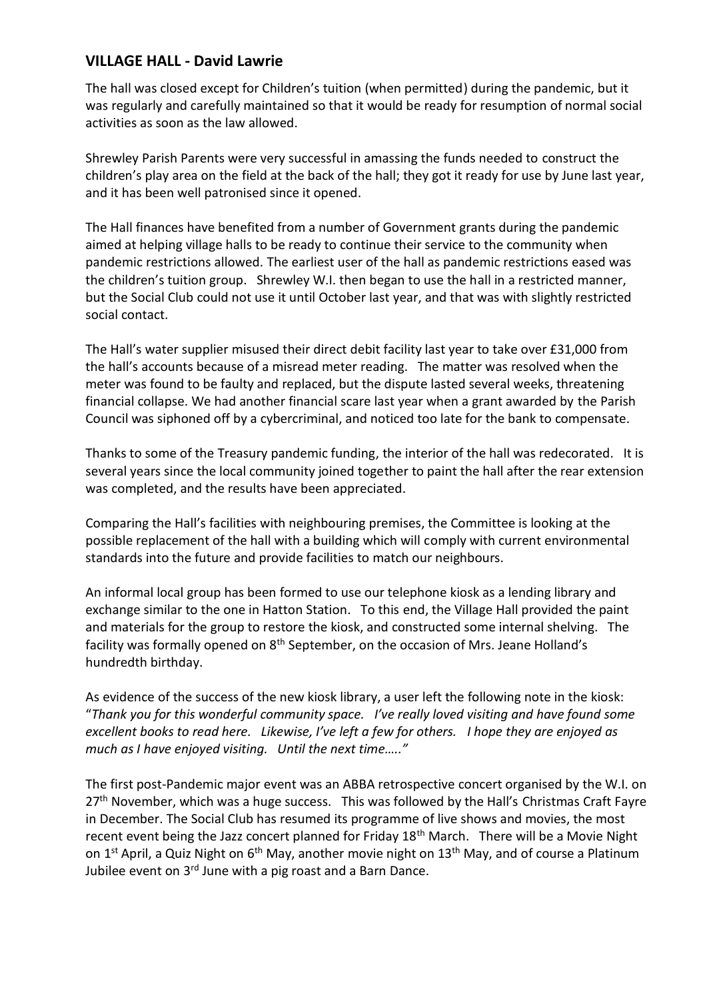#### **VILLAGE HALL - David Lawrie**

The hall was closed except for Children's tuition (when permitted) during the pandemic, but it was regularly and carefully maintained so that it would be ready for resumption of normal social activities as soon as the law allowed.

Shrewley Parish Parents were very successful in amassing the funds needed to construct the children's play area on the field at the back of the hall; they got it ready for use by June last year, and it has been well patronised since it opened.

The Hall finances have benefited from a number of Government grants during the pandemic aimed at helping village halls to be ready to continue their service to the community when pandemic restrictions allowed. The earliest user of the hall as pandemic restrictions eased was the children's tuition group. Shrewley W.I. then began to use the hall in a restricted manner, but the Social Club could not use it until October last year, and that was with slightly restricted social contact.

The Hall's water supplier misused their direct debit facility last year to take over £31,000 from the hall's accounts because of a misread meter reading. The matter was resolved when the meter was found to be faulty and replaced, but the dispute lasted several weeks, threatening financial collapse. We had another financial scare last year when a grant awarded by the Parish Council was siphoned off by a cybercriminal, and noticed too late for the bank to compensate.

Thanks to some of the Treasury pandemic funding, the interior of the hall was redecorated. It is several years since the local community joined together to paint the hall after the rear extension was completed, and the results have been appreciated.

Comparing the Hall's facilities with neighbouring premises, the Committee is looking at the possible replacement of the hall with a building which will comply with current environmental standards into the future and provide facilities to match our neighbours.

An informal local group has been formed to use our telephone kiosk as a lending library and exchange similar to the one in Hatton Station. To this end, the Village Hall provided the paint and materials for the group to restore the kiosk, and constructed some internal shelving. The facility was formally opened on  $8<sup>th</sup>$  September, on the occasion of Mrs. Jeane Holland's hundredth birthday.

As evidence of the success of the new kiosk library, a user left the following note in the kiosk: "*Thank you for this wonderful community space. I've really loved visiting and have found some excellent books to read here. Likewise, I've left a few for others. I hope they are enjoyed as much as I have enjoyed visiting. Until the next time….."*

The first post-Pandemic major event was an ABBA retrospective concert organised by the W.I. on  $27<sup>th</sup>$  November, which was a huge success. This was followed by the Hall's Christmas Craft Fayre in December. The Social Club has resumed its programme of live shows and movies, the most recent event being the Jazz concert planned for Friday 18<sup>th</sup> March. There will be a Movie Night on 1<sup>st</sup> April, a Quiz Night on  $6<sup>th</sup>$  May, another movie night on 13<sup>th</sup> May, and of course a Platinum Jubilee event on  $3<sup>rd</sup>$  June with a pig roast and a Barn Dance.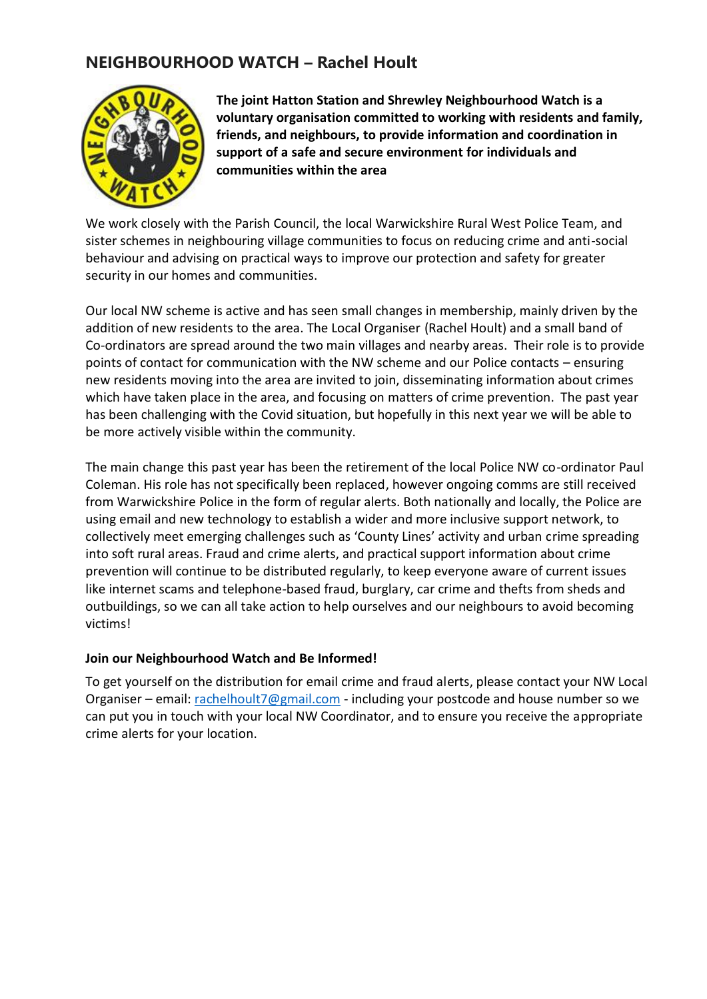## **NEIGHBOURHOOD WATCH – Rachel Hoult**



**The joint Hatton Station and Shrewley Neighbourhood Watch is a voluntary organisation committed to working with residents and family, friends, and neighbours, to provide information and coordination in support of a safe and secure environment for individuals and communities within the area** 

We work closely with the Parish Council, the local Warwickshire Rural West Police Team, and sister schemes in neighbouring village communities to focus on reducing crime and anti-social behaviour and advising on practical ways to improve our protection and safety for greater security in our homes and communities.

Our local NW scheme is active and has seen small changes in membership, mainly driven by the addition of new residents to the area. The Local Organiser (Rachel Hoult) and a small band of Co-ordinators are spread around the two main villages and nearby areas. Their role is to provide points of contact for communication with the NW scheme and our Police contacts – ensuring new residents moving into the area are invited to join, disseminating information about crimes which have taken place in the area, and focusing on matters of crime prevention. The past year has been challenging with the Covid situation, but hopefully in this next year we will be able to be more actively visible within the community.

The main change this past year has been the retirement of the local Police NW co-ordinator Paul Coleman. His role has not specifically been replaced, however ongoing comms are still received from Warwickshire Police in the form of regular alerts. Both nationally and locally, the Police are using email and new technology to establish a wider and more inclusive support network, to collectively meet emerging challenges such as 'County Lines' activity and urban crime spreading into soft rural areas. Fraud and crime alerts, and practical support information about crime prevention will continue to be distributed regularly, to keep everyone aware of current issues like internet scams and telephone-based fraud, burglary, car crime and thefts from sheds and outbuildings, so we can all take action to help ourselves and our neighbours to avoid becoming victims!

#### **Join our Neighbourhood Watch and Be Informed!**

To get yourself on the distribution for email crime and fraud alerts, please contact your NW Local Organiser – email[: rachelhoult7@gmail.com](mailto:rachelhoult7@gmail.com) - including your postcode and house number so we can put you in touch with your local NW Coordinator, and to ensure you receive the appropriate crime alerts for your location.